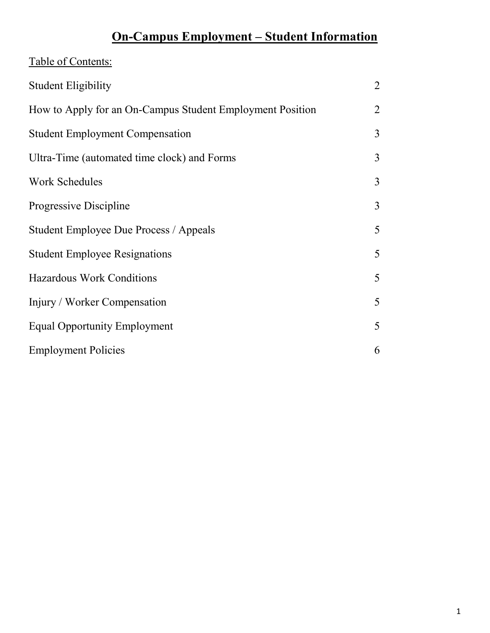# **On-Campus Employment – Student Information**

| Table of Contents:                                        |                |
|-----------------------------------------------------------|----------------|
| <b>Student Eligibility</b>                                | $\overline{2}$ |
| How to Apply for an On-Campus Student Employment Position | 2              |
| <b>Student Employment Compensation</b>                    | $\overline{3}$ |
| Ultra-Time (automated time clock) and Forms               | $\overline{3}$ |
| <b>Work Schedules</b>                                     | $\overline{3}$ |
| Progressive Discipline                                    | $\overline{3}$ |
| Student Employee Due Process / Appeals                    | 5              |
| <b>Student Employee Resignations</b>                      | 5              |
| <b>Hazardous Work Conditions</b>                          | 5              |
| Injury / Worker Compensation                              | 5              |
| <b>Equal Opportunity Employment</b>                       | 5              |
| <b>Employment Policies</b>                                | 6              |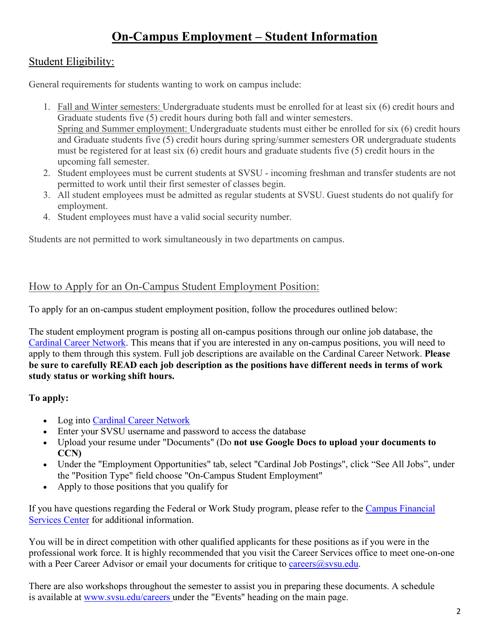## **On-Campus Employment – Student Information**

## Student Eligibility:

General requirements for students wanting to work on campus include:

- 1. Fall and Winter semesters: Undergraduate students must be enrolled for at least six (6) credit hours and Graduate students five (5) credit hours during both fall and winter semesters. Spring and Summer employment: Undergraduate students must either be enrolled for six (6) credit hours and Graduate students five (5) credit hours during spring/summer semesters OR undergraduate students must be registered for at least six (6) credit hours and graduate students five (5) credit hours in the upcoming fall semester.
- 2. Student employees must be current students at SVSU incoming freshman and transfer students are not permitted to work until their first semester of classes begin.
- 3. All student employees must be admitted as regular students at SVSU. Guest students do not qualify for employment.
- 4. Student employees must have a valid social security number.

Students are not permitted to work simultaneously in two departments on campus.

## How to Apply for an On-Campus Student Employment Position:

To apply for an on-campus student employment position, follow the procedures outlined below:

The student employment program is posting all on-campus positions through our online job database, the Cardinal [Career Network.](https://svsu-csm.symplicity.com/students/) This means that if you are interested in any on-campus positions, you will need to apply to them through this system. Full job descriptions are available on the Cardinal Career Network. **Please be sure to carefully READ each job description as the positions have different needs in terms of work study status or working shift hours.**

## **To apply:**

- Log into [Cardinal Career Network](https://svsu-csm.symplicity.com/students/)
- Enter your SVSU username and password to access the database
- Upload your resume under "Documents" (Do **not use Google Docs to upload your documents to CCN)**
- Under the "Employment Opportunities" tab, select "Cardinal Job Postings", click "See All Jobs", under the "Position Type" field choose "On-Campus Student Employment"
- Apply to those positions that you qualify for

If you have questions regarding the Federal or Work Study program, please refer to the Campus Financial [Services Center](http://www.svsu.edu/cfsc/typesoffinancialaid/work-study/) for additional information.

You will be in direct competition with other qualified applicants for these positions as if you were in the professional work force. It is highly recommended that you visit the Career Services office to meet one-on-one with a Peer Career Advisor or email your documents for critique to careers  $\omega$ svsu.edu.

There are also workshops throughout the semester to assist you in preparing these documents. A schedule is available at [www.svsu.edu/careers](http://www.svsu.edu/careerservices/) under the "Events" heading on the main page.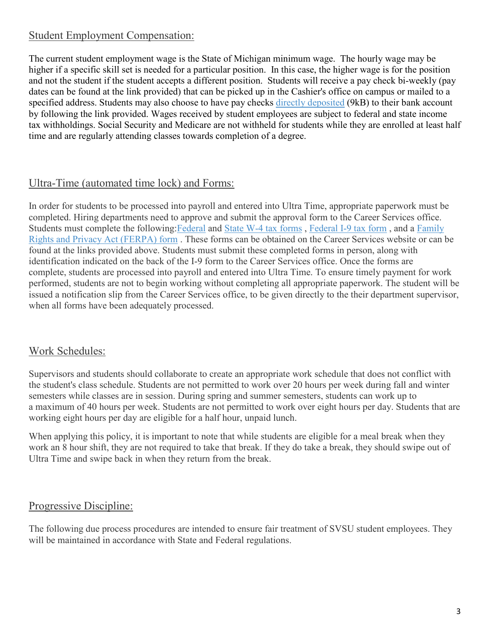## Student Employment Compensation:

The current student employment wage is the State of Michigan minimum wage. The hourly wage may be higher if a specific skill set is needed for a particular position. In this case, the higher wage is for the position and not the student if the student accepts a different position. Students will receive a pay check bi-weekly (pay dates can be found at the link provided) that can be picked up in the Cashier's office on campus or mailed to a specified address. Students may also choose to have pay checks [directly deposited](http://www.svsu.edu/media/careerservices/docs/careerservicespdf/DIRECT_DEPOSIT.pdf) (9kB) to their bank account by following the link provided. Wages received by student employees are subject to federal and state income tax withholdings. Social Security and Medicare are not withheld for students while they are enrolled at least half time and are regularly attending classes towards completion of a degree.

## Ultra-Time (automated time lock) and Forms:

In order for students to be processed into payroll and entered into Ultra Time, appropriate paperwork must be completed. Hiring departments need to approve and submit the approval form to the Career Services office. Students must complete the following: Federal and [State W-4 tax forms](http://www.svsu.edu/hr/formsdocumentslibrary/), [Federal I-9 tax form](http://www.svsu.edu/hr/formsdocumentslibrary/), and a Family [Rights and Privacy Act \(FERPA\) form](http://www.svsu.edu/hr/formsdocumentslibrary/) . These forms can be obtained on the Career Services website or can be found at the links provided above. Students must submit these completed forms in person, along with identification indicated on the back of the I-9 form to the Career Services office. Once the forms are complete, students are processed into payroll and entered into Ultra Time. To ensure timely payment for work performed, students are not to begin working without completing all appropriate paperwork. The student will be issued a notification slip from the Career Services office, to be given directly to the their department supervisor, when all forms have been adequately processed.

## Work Schedules:

Supervisors and students should collaborate to create an appropriate work schedule that does not conflict with the student's class schedule. Students are not permitted to work over 20 hours per week during fall and winter semesters while classes are in session. During spring and summer semesters, students can work up to a maximum of 40 hours per week. Students are not permitted to work over eight hours per day. Students that are working eight hours per day are eligible for a half hour, unpaid lunch.

When applying this policy, it is important to note that while students are eligible for a meal break when they work an 8 hour shift, they are not required to take that break. If they do take a break, they should swipe out of Ultra Time and swipe back in when they return from the break.

## Progressive Discipline:

The following due process procedures are intended to ensure fair treatment of SVSU student employees. They will be maintained in accordance with State and Federal regulations.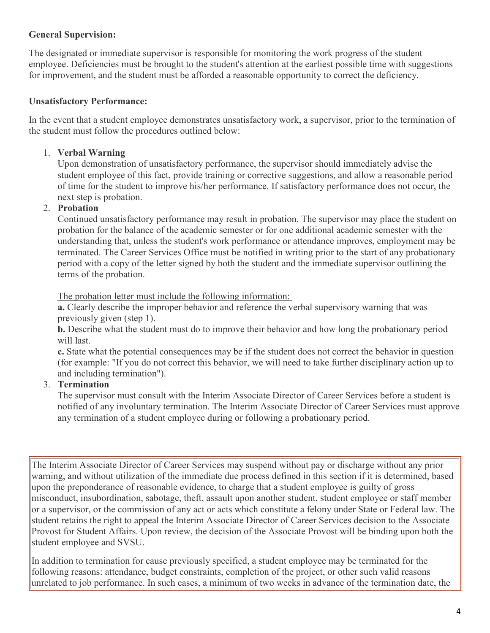#### **General Supervision:**

The designated or immediate supervisor is responsible for monitoring the work progress of the student employee. Deficiencies must be brought to the student's attention at the earliest possible time with suggestions for improvement, and the student must be afforded a reasonable opportunity to correct the deficiency.

#### **Unsatisfactory Performance:**

In the event that a student employee demonstrates unsatisfactory work, a supervisor, prior to the termination of the student must follow the procedures outlined below:

#### 1. **Verbal Warning**

Upon demonstration of unsatisfactory performance, the supervisor should immediately advise the student employee of this fact, provide training or corrective suggestions, and allow a reasonable period of time for the student to improve his/her performance. If satisfactory performance does not occur, the next step is probation.

#### 2. **Probation**

Continued unsatisfactory performance may result in probation. The supervisor may place the student on probation for the balance of the academic semester or for one additional academic semester with the understanding that, unless the student's work performance or attendance improves, employment may be terminated. The Career Services Office must be notified in writing prior to the start of any probationary period with a copy of the letter signed by both the student and the immediate supervisor outlining the terms of the probation.

The probation letter must include the following information:

**a.** Clearly describe the improper behavior and reference the verbal supervisory warning that was previously given (step 1).

**b.** Describe what the student must do to improve their behavior and how long the probationary period will last.

**c.** State what the potential consequences may be if the student does not correct the behavior in question (for example: "If you do not correct this behavior, we will need to take further disciplinary action up to and including termination").

#### 3. **Termination**

The supervisor must consult with the Interim Associate Director of Career Services before a student is notified of any involuntary termination. The Interim Associate Director of Career Services must approve any termination of a student employee during or following a probationary period.

The Interim Associate Director of Career Services may suspend without pay or discharge without any prior warning, and without utilization of the immediate due process defined in this section if it is determined, based upon the preponderance of reasonable evidence, to charge that a student employee is guilty of gross misconduct, insubordination, sabotage, theft, assault upon another student, student employee or staff member or a supervisor, or the commission of any act or acts which constitute a felony under State or Federal law. The student retains the right to appeal the Interim Associate Director of Career Services decision to the Associate Provost for Student Affairs. Upon review, the decision of the Associate Provost will be binding upon both the student employee and SVSU.

In addition to termination for cause previously specified, a student employee may be terminated for the following reasons: attendance, budget constraints, completion of the project, or other such valid reasons unrelated to job performance. In such cases, a minimum of two weeks in advance of the termination date, the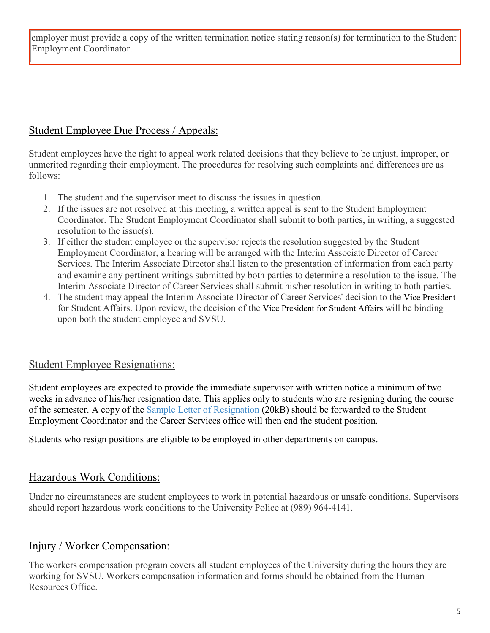employer must provide a copy of the written termination notice stating reason(s) for termination to the Student Employment Coordinator.

## Student Employee Due Process / Appeals:

Student employees have the right to appeal work related decisions that they believe to be unjust, improper, or unmerited regarding their employment. The procedures for resolving such complaints and differences are as follows:

- 1. The student and the supervisor meet to discuss the issues in question.
- 2. If the issues are not resolved at this meeting, a written appeal is sent to the Student Employment Coordinator. The Student Employment Coordinator shall submit to both parties, in writing, a suggested resolution to the issue(s).
- 3. If either the student employee or the supervisor rejects the resolution suggested by the Student Employment Coordinator, a hearing will be arranged with the Interim Associate Director of Career Services. The Interim Associate Director shall listen to the presentation of information from each party and examine any pertinent writings submitted by both parties to determine a resolution to the issue. The Interim Associate Director of Career Services shall submit his/her resolution in writing to both parties.
- 4. The student may appeal the Interim Associate Director of Career Services' decision to the Vice President for Student Affairs. Upon review, the decision of the Vice President for Student Affairs will be binding upon both the student employee and SVSU.

## Student Employee Resignations:

Student employees are expected to provide the immediate supervisor with written notice a minimum of two weeks in advance of his/her resignation date. This applies only to students who are resigning during the course of the semester. A copy of the [Sample Letter of Resignation](http://www.svsu.edu/media/careerservices/docs/careerservicesdocs/Letter_of_Resignation_Sample.doc) (20kB) should be forwarded to the Student Employment Coordinator and the Career Services office will then end the student position.

Students who resign positions are eligible to be employed in other departments on campus.

## Hazardous Work Conditions:

Under no circumstances are student employees to work in potential hazardous or unsafe conditions. Supervisors should report hazardous work conditions to the University Police at (989) 964-4141.

## Injury / Worker Compensation:

The workers compensation program covers all student employees of the University during the hours they are working for SVSU. Workers compensation information and forms should be obtained from the Human Resources Office.